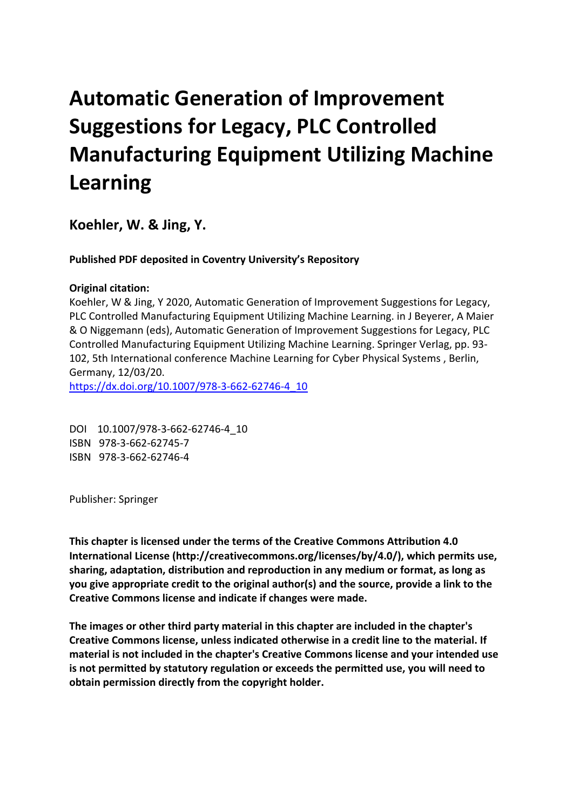# **Automatic Generation of Improvement Suggestions for Legacy, PLC Controlled Manufacturing Equipment Utilizing Machine Learning**

**Koehler, W. & Jing, Y.** 

**Published PDF deposited in Coventry University's Repository** 

# **Original citation:**

Koehler, W & Jing, Y 2020, Automatic Generation of Improvement Suggestions for Legacy, PLC Controlled Manufacturing Equipment Utilizing Machine Learning. in J Beyerer, A Maier & O Niggemann (eds), Automatic Generation of Improvement Suggestions for Legacy, PLC Controlled Manufacturing Equipment Utilizing Machine Learning. Springer Verlag, pp. 93- 102, 5th International conference Machine Learning for Cyber Physical Systems , Berlin, Germany, 12/03/20.

https://dx.doi.org/10.1007/978-3-662-62746-4\_10

 DOI 10.1007/978-3-662-62746-4\_10 ISBN 978-3-662-62745-7 ISBN 978-3-662-62746-4

Publisher: Springer

**This chapter is licensed under the terms of the Creative Commons Attribution 4.0 International License (http://creativecommons.org/licenses/by/4.0/), which permits use, sharing, adaptation, distribution and reproduction in any medium or format, as long as you give appropriate credit to the original author(s) and the source, provide a link to the Creative Commons license and indicate if changes were made.** 

**The images or other third party material in this chapter are included in the chapter's Creative Commons license, unless indicated otherwise in a credit line to the material. If material is not included in the chapter's Creative Commons license and your intended use is not permitted by statutory regulation or exceeds the permitted use, you will need to obtain permission directly from the copyright holder.**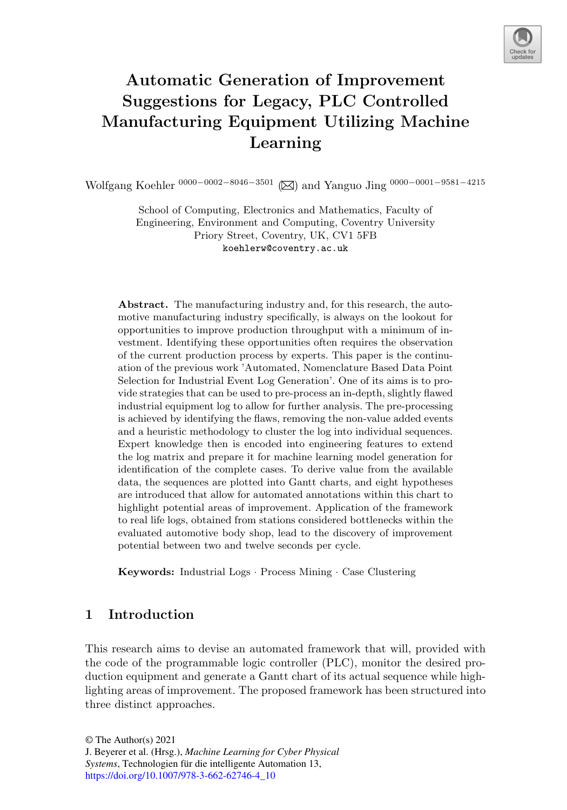

# **Automatic Generation of Improvement Suggestions for Legacy, PLC Controlled Manufacturing Equipment Utilizing Machine Learning**

Wolfgang Koehler <sup>0000–0002–8046–3501</sup> (⊠) and Yanguo Jing <sup>0000–0001–9581–4215</sup>

School of Computing, Electronics and Mathematics, Faculty of Engineering, Environment and Computing, Coventry University Priory Street, Coventry, UK, CV1 5FB koehlerw@coventry.ac.uk

**Abstract.** The manufacturing industry and, for this research, the automotive manufacturing industry specifically, is always on the lookout for opportunities to improve production throughput with a minimum of investment. Identifying these opportunities often requires the observation of the current production process by experts. This paper is the continuation of the previous work 'Automated, Nomenclature Based Data Point Selection for Industrial Event Log Generation'. One of its aims is to provide strategies that can be used to pre-process an in-depth, slightly flawed industrial equipment log to allow for further analysis. The pre-processing is achieved by identifying the flaws, removing the non-value added events and a heuristic methodology to cluster the log into individual sequences. Expert knowledge then is encoded into engineering features to extend the log matrix and prepare it for machine learning model generation for identification of the complete cases. To derive value from the available data, the sequences are plotted into Gantt charts, and eight hypotheses are introduced that allow for automated annotations within this chart to highlight potential areas of improvement. Application of the framework to real life logs, obtained from stations considered bottlenecks within the evaluated automotive body shop, lead to the discovery of improvement potential between two and twelve seconds per cycle.

**Keywords:** Industrial Logs · Process Mining · Case Clustering

#### **Introduction 1**

This research aims to devise an automated framework that will, provided with the code of the programmable logic controller (PLC), monitor the desired production equipment and generate a Gantt chart of its actual sequence while highlighting areas of improvement. The proposed framework has been structured into three distinct approaches.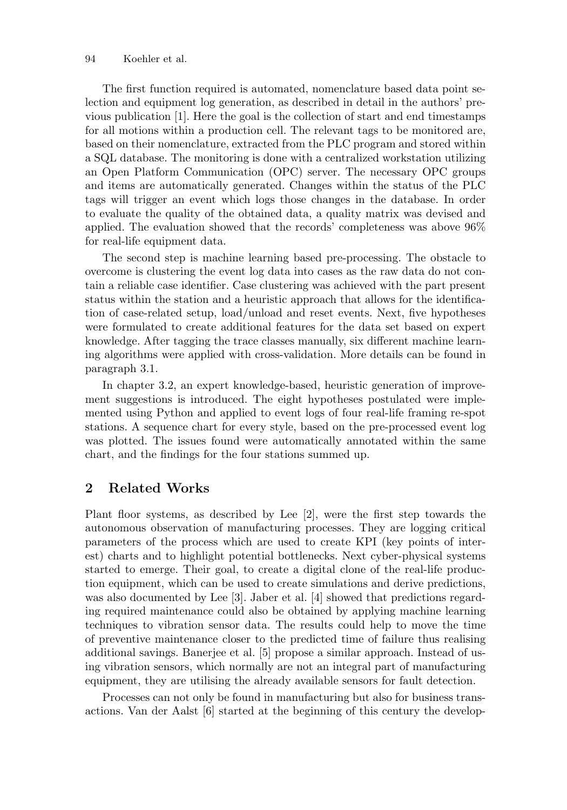The first function required is automated, nomenclature based data point selection and equipment log generation, as described in detail in the authors' previous publication [1]. Here the goal is the collection of start and end timestamps for all motions within a production cell. The relevant tags to be monitored are, based on their nomenclature, extracted from the PLC program and stored within a SQL database. The monitoring is done with a centralized workstation utilizing an Open Platform Communication (OPC) server. The necessary OPC groups and items are automatically generated. Changes within the status of the PLC tags will trigger an event which logs those changes in the database. In order to evaluate the quality of the obtained data, a quality matrix was devised and applied. The evaluation showed that the records' completeness was above 96% for real-life equipment data.

The second step is machine learning based pre-processing. The obstacle to overcome is clustering the event log data into cases as the raw data do not contain a reliable case identifier. Case clustering was achieved with the part present status within the station and a heuristic approach that allows for the identification of case-related setup, load/unload and reset events. Next, five hypotheses were formulated to create additional features for the data set based on expert knowledge. After tagging the trace classes manually, six different machine learning algorithms were applied with cross-validation. More details can be found in paragraph 3.1.

In chapter 3.2, an expert knowledge-based, heuristic generation of improvement suggestions is introduced. The eight hypotheses postulated were implemented using Python and applied to event logs of four real-life framing re-spot stations. A sequence chart for every style, based on the pre-processed event log was plotted. The issues found were automatically annotated within the same chart, and the findings for the four stations summed up.

#### **2 Related Works**

Plant floor systems, as described by Lee [2], were the first step towards the autonomous observation of manufacturing processes. They are logging critical parameters of the process which are used to create KPI (key points of interest) charts and to highlight potential bottlenecks. Next cyber-physical systems started to emerge. Their goal, to create a digital clone of the real-life production equipment, which can be used to create simulations and derive predictions, was also documented by Lee [3]. Jaber et al. [4] showed that predictions regarding required maintenance could also be obtained by applying machine learning techniques to vibration sensor data. The results could help to move the time of preventive maintenance closer to the predicted time of failure thus realising additional savings. Banerjee et al. [5] propose a similar approach. Instead of using vibration sensors, which normally are not an integral part of manufacturing equipment, they are utilising the already available sensors for fault detection.

Processes can not only be found in manufacturing but also for business transactions. Van der Aalst [6] started at the beginning of this century the develop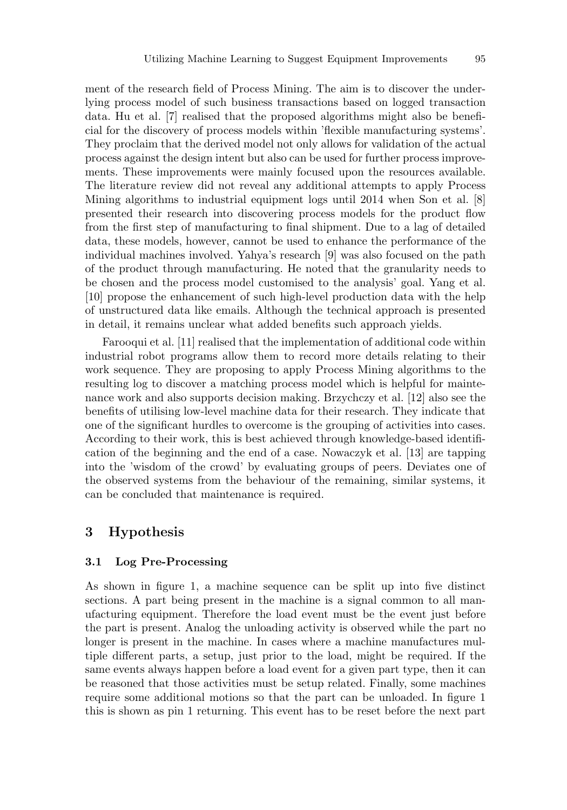ment of the research field of Process Mining. The aim is to discover the underlying process model of such business transactions based on logged transaction data. Hu et al. [7] realised that the proposed algorithms might also be beneficial for the discovery of process models within 'flexible manufacturing systems'. They proclaim that the derived model not only allows for validation of the actual process against the design intent but also can be used for further process improvements. These improvements were mainly focused upon the resources available. The literature review did not reveal any additional attempts to apply Process Mining algorithms to industrial equipment logs until 2014 when Son et al. [8] presented their research into discovering process models for the product flow from the first step of manufacturing to final shipment. Due to a lag of detailed data, these models, however, cannot be used to enhance the performance of the individual machines involved. Yahya's research [9] was also focused on the path of the product through manufacturing. He noted that the granularity needs to be chosen and the process model customised to the analysis' goal. Yang et al. [10] propose the enhancement of such high-level production data with the help of unstructured data like emails. Although the technical approach is presented in detail, it remains unclear what added benefits such approach yields.

Farooqui et al. [11] realised that the implementation of additional code within industrial robot programs allow them to record more details relating to their work sequence. They are proposing to apply Process Mining algorithms to the resulting log to discover a matching process model which is helpful for maintenance work and also supports decision making. Brzychczy et al. [12] also see the benefits of utilising low-level machine data for their research. They indicate that one of the significant hurdles to overcome is the grouping of activities into cases. According to their work, this is best achieved through knowledge-based identification of the beginning and the end of a case. Nowaczyk et al. [13] are tapping into the 'wisdom of the crowd' by evaluating groups of peers. Deviates one of the observed systems from the behaviour of the remaining, similar systems, it can be concluded that maintenance is required.

#### **3 Hypothesis**

## **3.1 Log Pre-Processing**

As shown in figure 1, a machine sequence can be split up into five distinct sections. A part being present in the machine is a signal common to all manufacturing equipment. Therefore the load event must be the event just before the part is present. Analog the unloading activity is observed while the part no longer is present in the machine. In cases where a machine manufactures multiple different parts, a setup, just prior to the load, might be required. If the same events always happen before a load event for a given part type, then it can be reasoned that those activities must be setup related. Finally, some machines require some additional motions so that the part can be unloaded. In figure 1 this is shown as pin 1 returning. This event has to be reset before the next part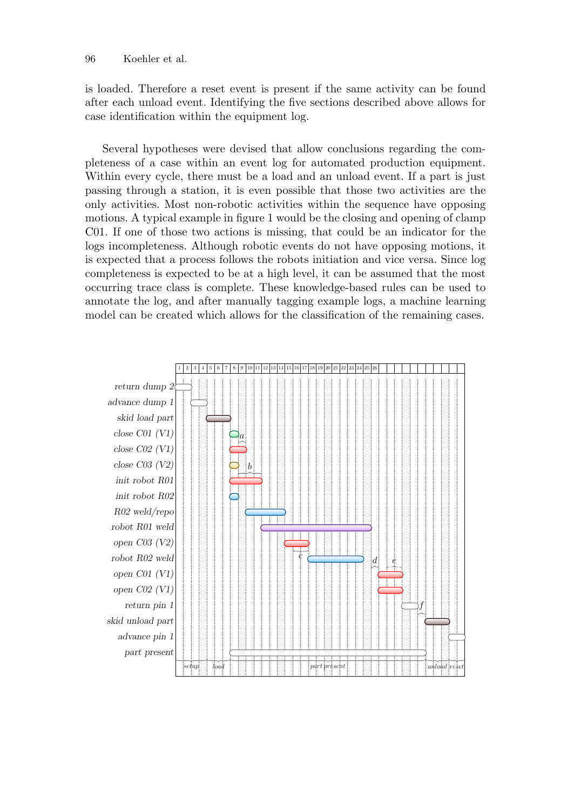is loaded. Therefore a reset event is present if the same activity can be found after each unload event. Identifying the five sections described above allows for case identification within the equipment log.

Several hypotheses were devised that allow conclusions regarding the completeness of a case within an event log for automated production equipment. Within every cycle, there must be a load and an unload event. If a part is just passing through a station, it is even possible that those two activities are the only activities. Most non-robotic activities within the sequence have opposing motions. A typical example in figure 1 would be the closing and opening of clamp C01. If one of those two actions is missing, that could be an indicator for the logs incompleteness. Although robotic events do not have opposing motions, it is expected that a process follows the robots initiation and vice versa. Since log completeness is expected to be at a high level, it can be assumed that the most occurring trace class is complete. These knowledge-based rules can be used to annotate the log, and after manually tagging example logs, a machine learning model can be created which allows for the classification of the remaining cases.

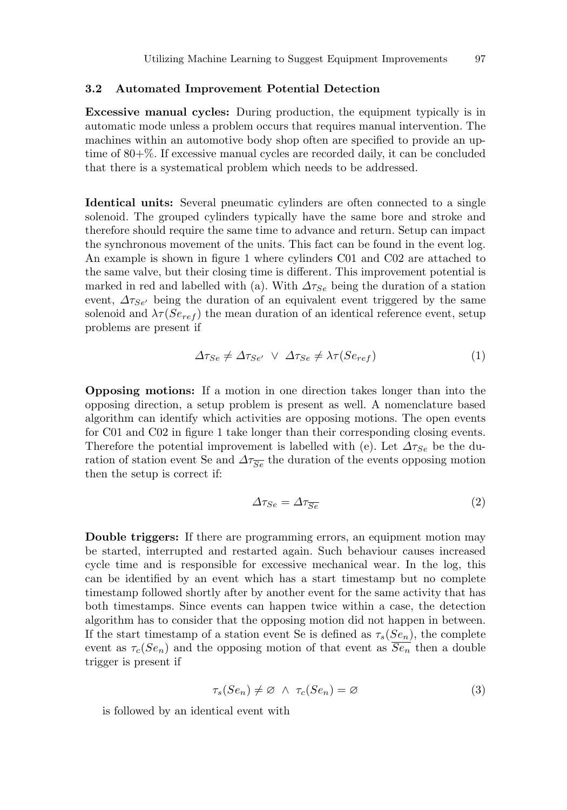### **3.2 Automated Improvement Potential Detection**

**Excessive manual cycles:** During production, the equipment typically is in automatic mode unless a problem occurs that requires manual intervention. The machines within an automotive body shop often are specified to provide an uptime of  $80+\%$ . If excessive manual cycles are recorded daily, it can be concluded that there is a systematical problem which needs to be addressed.

**Identical units:** Several pneumatic cylinders are often connected to a single solenoid. The grouped cylinders typically have the same bore and stroke and therefore should require the same time to advance and return. Setup can impact the synchronous movement of the units. This fact can be found in the event log. An example is shown in figure 1 where cylinders C01 and C02 are attached to the same valve, but their closing time is different. This improvement potential is marked in red and labelled with (a). With  $\Delta \tau_{Se}$  being the duration of a station event,  $\Delta\tau_{Se'}$  being the duration of an equivalent event triggered by the same solenoid and  $\lambda \tau (Se_{ref})$  the mean duration of an identical reference event, setup problems are present if

$$
\Delta \tau_{Se} \neq \Delta \tau_{Se'} \ \lor \ \Delta \tau_{Se} \neq \lambda \tau (Se_{ref}) \tag{1}
$$

**Opposing motions:** If a motion in one direction takes longer than into the opposing direction, a setup problem is present as well. A nomenclature based algorithm can identify which activities are opposing motions. The open events for C01 and C02 in figure 1 take longer than their corresponding closing events. Therefore the potential improvement is labelled with (e). Let  $\Delta \tau_{Se}$  be the duration of station event Se and  $\Delta \tau_{\overline{S_{e}}}$  the duration of the events opposing motion then the setup is correct if:

$$
\Delta \tau_{Se} = \Delta \tau_{\overline{Se}} \tag{2}
$$

**Double triggers:** If there are programming errors, an equipment motion may be started, interrupted and restarted again. Such behaviour causes increased cycle time and is responsible for excessive mechanical wear. In the log, this can be identified by an event which has a start timestamp but no complete timestamp followed shortly after by another event for the same activity that has both timestamps. Since events can happen twice within a case, the detection algorithm has to consider that the opposing motion did not happen in between. If the start timestamp of a station event Se is defined as  $\tau_s(Se_n)$ , the complete event as  $\tau_c(se_n)$  and the opposing motion of that event as  $\overline{Se_n}$  then a double trigger is present if

$$
\tau_s(Se_n) \neq \varnothing \ \land \ \tau_c(Se_n) = \varnothing \tag{3}
$$

is followed by an identical event with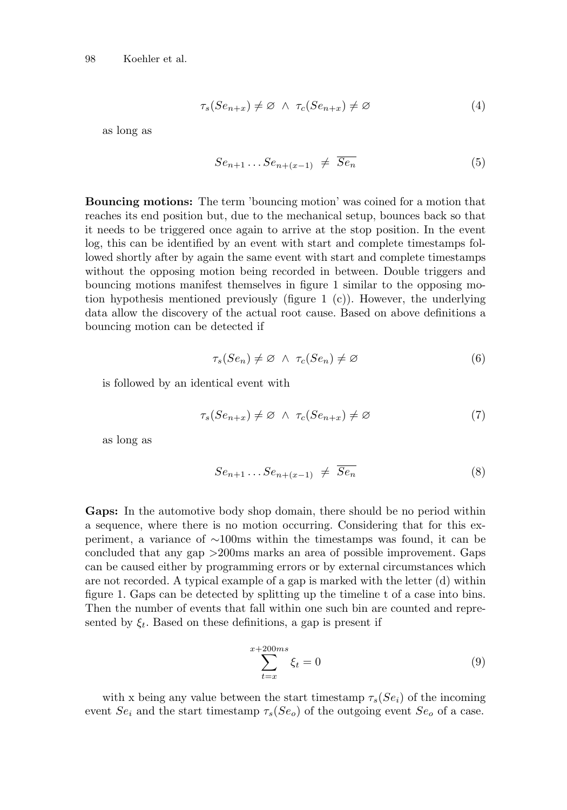$$
\tau_s(Se_{n+x}) \neq \varnothing \ \land \ \tau_c(Se_{n+x}) \neq \varnothing \tag{4}
$$

as long as

$$
Se_{n+1}\dots Se_{n+(x-1)} \neq \overline{Se_n} \tag{5}
$$

**Bouncing motions:** The term 'bouncing motion' was coined for a motion that reaches its end position but, due to the mechanical setup, bounces back so that it needs to be triggered once again to arrive at the stop position. In the event log, this can be identified by an event with start and complete timestamps followed shortly after by again the same event with start and complete timestamps without the opposing motion being recorded in between. Double triggers and bouncing motions manifest themselves in figure 1 similar to the opposing motion hypothesis mentioned previously (figure 1 (c)). However, the underlying data allow the discovery of the actual root cause. Based on above definitions a bouncing motion can be detected if

$$
\tau_s(Se_n) \neq \varnothing \ \land \ \tau_c(Se_n) \neq \varnothing \tag{6}
$$

is followed by an identical event with

$$
\tau_s(Se_{n+x}) \neq \varnothing \ \land \ \tau_c(Se_{n+x}) \neq \varnothing \tag{7}
$$

as long as

$$
Se_{n+1}\dots Se_{n+(x-1)} \neq \overline{Se_n} \tag{8}
$$

**Gaps:** In the automotive body shop domain, there should be no period within a sequence, where there is no motion occurring. Considering that for this experiment, a variance of  $\sim 100$ ms within the timestamps was found, it can be concluded that any gap >200ms marks an area of possible improvement. Gaps can be caused either by programming errors or by external circumstances which are not recorded. A typical example of a gap is marked with the letter (d) within figure 1. Gaps can be detected by splitting up the timeline t of a case into bins. Then the number of events that fall within one such bin are counted and represented by  $\xi_t$ . Based on these definitions, a gap is present if

$$
\sum_{t=x}^{x+200ms} \xi_t = 0 \tag{9}
$$

with x being any value between the start timestamp  $\tau_s(Se_i)$  of the incoming event  $Se_i$  and the start timestamp  $\tau_s(Se_o)$  of the outgoing event  $Se_o$  of a case.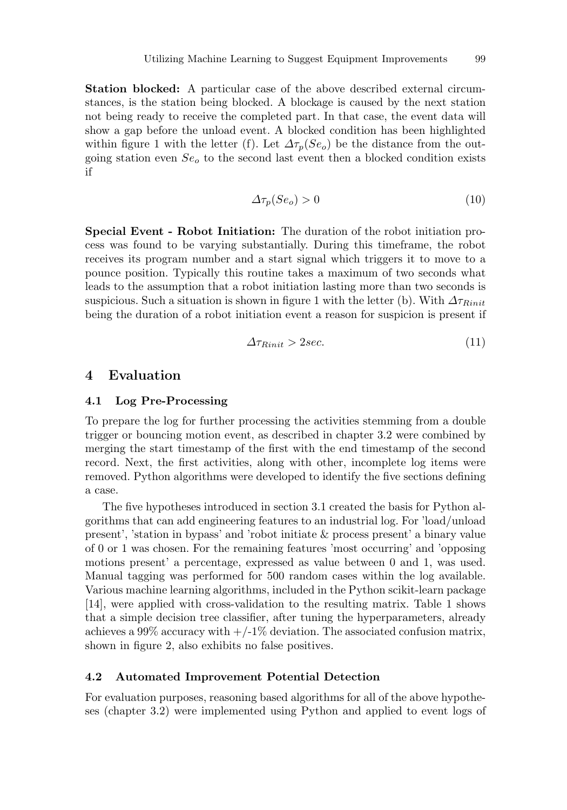**Station blocked:** A particular case of the above described external circumstances, is the station being blocked. A blockage is caused by the next station not being ready to receive the completed part. In that case, the event data will show a gap before the unload event. A blocked condition has been highlighted within figure 1 with the letter (f). Let  $\Delta \tau_n (Se_{\alpha})$  be the distance from the outgoing station even  $Se<sub>o</sub>$  to the second last event then a blocked condition exists if

$$
\Delta \tau_p (Se_o) > 0 \tag{10}
$$

**Special Event - Robot Initiation:** The duration of the robot initiation process was found to be varying substantially. During this timeframe, the robot receives its program number and a start signal which triggers it to move to a pounce position. Typically this routine takes a maximum of two seconds what leads to the assumption that a robot initiation lasting more than two seconds is suspicious. Such a situation is shown in figure 1 with the letter (b). With  $\Delta \tau_{Rinit}$ being the duration of a robot initiation event a reason for suspicion is present if

$$
\Delta \tau_{Rinit} > 2sec. \tag{11}
$$

#### **4 Evaluation**

# **4.1 Log Pre-Processing**

To prepare the log for further processing the activities stemming from a double trigger or bouncing motion event, as described in chapter 3.2 were combined by merging the start timestamp of the first with the end timestamp of the second record. Next, the first activities, along with other, incomplete log items were removed. Python algorithms were developed to identify the five sections defining a case.

The five hypotheses introduced in section 3.1 created the basis for Python algorithms that can add engineering features to an industrial log. For 'load/unload present', 'station in bypass' and 'robot initiate & process present' a binary value of 0 or 1 was chosen. For the remaining features 'most occurring' and 'opposing motions present' a percentage, expressed as value between 0 and 1, was used. Manual tagging was performed for 500 random cases within the log available. Various machine learning algorithms, included in the Python scikit-learn package [14], were applied with cross-validation to the resulting matrix. Table 1 shows that a simple decision tree classifier, after tuning the hyperparameters, already achieves a 99% accuracy with  $+/-1\%$  deviation. The associated confusion matrix, shown in figure 2, also exhibits no false positives.

## **4.2 Automated Improvement Potential Detection**

For evaluation purposes, reasoning based algorithms for all of the above hypotheses (chapter 3.2) were implemented using Python and applied to event logs of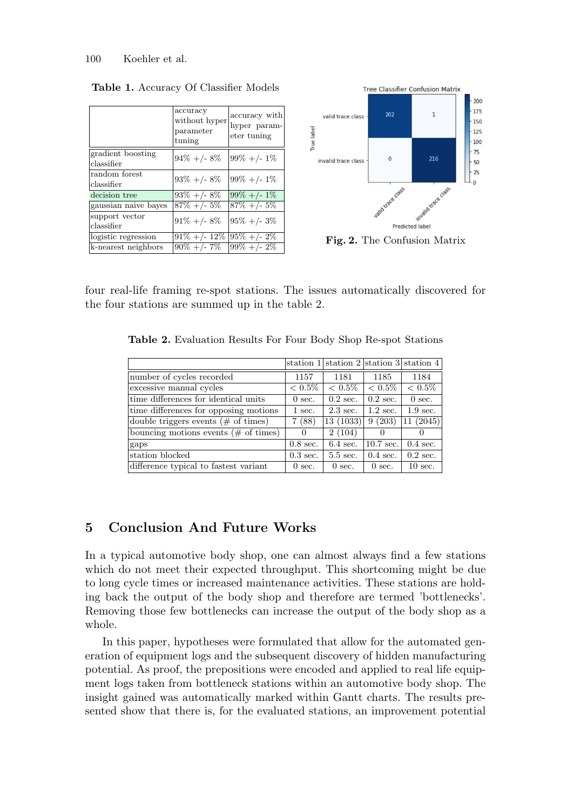|                                 | accuracy<br>without hyper<br>parameter<br>tuning | accuracy with<br>hyper param-<br>eter tuning |
|---------------------------------|--------------------------------------------------|----------------------------------------------|
| gradient boosting<br>classifier | $94\% + (-8\%$                                   | $99\% + (-1\%$                               |
| random forest<br>classifier     | $93\% + (-8\%$                                   | $99\% + (-1\%$                               |
| decision tree                   | $93\% + (-8\%$                                   | $99\% +/- 1\%$                               |
| gaussian naive bayes            | $87\% + (-5\%$                                   | $87\% + (-5\%$                               |
| support vector<br>classifier    | $91\% + (-8\%$                                   | $95\% +/- 3\%$                               |
| logistic regression             | $91\% + (-12\%$                                  | $95\% + (-2\%$                               |
| k-nearest neighbors             | $90\% + (-7\%$                                   | $99\% + (-2\%$                               |

**Table 1.** Accuracy Of Classifier Models



four real-life framing re-spot stations. The issues automatically discovered for the four stations are summed up in the table 2.

|                                                |                    | station $1$ station $2$ station $3$ station $4$ |                    |                    |
|------------------------------------------------|--------------------|-------------------------------------------------|--------------------|--------------------|
| number of cycles recorded                      | 1157               | 1181                                            | 1185               | 1184               |
| excessive manual cycles                        | ${}< 0.5\%$        | ${}< 0.5\%$                                     | $< 0.5\%$          | ${}< 0.5\%$        |
| time differences for identical units           | $0$ sec.           | $0.2 \text{ sec.}$                              | $0.2 \text{ sec.}$ | $0$ sec.           |
| time differences for opposing motions          | 1 sec.             | $2.3$ sec.                                      | $1.2$ sec.         | $1.9 \text{ sec.}$ |
| double triggers events $(\# \text{ of times})$ | 7(88)              | 13(1033)                                        | 9(203)             | (2045)<br>11       |
| bouncing motions events ( $\#$ of times)       | 0                  | 2(104)                                          | $\theta$           | 0                  |
| gaps                                           | $0.8 \text{ sec.}$ | $6.4 \text{ sec.}$                              | $10.7$ sec.        | $0.4 \text{ sec.}$ |
| station blocked                                | $0.3 \text{ sec.}$ | $5.5 \text{ sec.}$                              | $0.4 \text{ sec.}$ | $0.2$ sec.         |
| difference typical to fastest variant          | $0 \text{ sec.}$   | $0$ sec.                                        | $0$ sec.           | $10 \text{ sec.}$  |

**Table 2.** Evaluation Results For Four Body Shop Re-spot Stations

#### **5 Conclusion And Future Works**

In a typical automotive body shop, one can almost always find a few stations which do not meet their expected throughput. This shortcoming might be due to long cycle times or increased maintenance activities. These stations are holding back the output of the body shop and therefore are termed 'bottlenecks'. Removing those few bottlenecks can increase the output of the body shop as a whole.

In this paper, hypotheses were formulated that allow for the automated generation of equipment logs and the subsequent discovery of hidden manufacturing potential. As proof, the prepositions were encoded and applied to real life equipment logs taken from bottleneck stations within an automotive body shop. The insight gained was automatically marked within Gantt charts. The results presented show that there is, for the evaluated stations, an improvement potential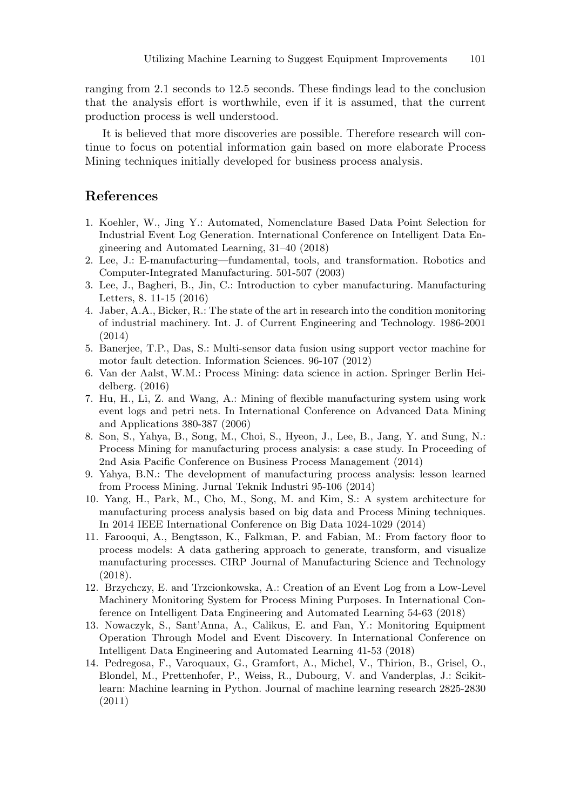ranging from 2.1 seconds to 12.5 seconds. These findings lead to the conclusion that the analysis effort is worthwhile, even if it is assumed, that the current production process is well understood.

It is believed that more discoveries are possible. Therefore research will continue to focus on potential information gain based on more elaborate Process Mining techniques initially developed for business process analysis.

# **References**

- 1. Koehler, W., Jing Y.: Automated, Nomenclature Based Data Point Selection for Industrial Event Log Generation. International Conference on Intelligent Data Engineering and Automated Learning, 31–40 (2018)
- 2. Lee, J.: E-manufacturing—fundamental, tools, and transformation. Robotics and Computer-Integrated Manufacturing. 501-507 (2003)
- 3. Lee, J., Bagheri, B., Jin, C.: Introduction to cyber manufacturing. Manufacturing Letters, 8. 11-15 (2016)
- 4. Jaber, A.A., Bicker, R.: The state of the art in research into the condition monitoring of industrial machinery. Int. J. of Current Engineering and Technology. 1986-2001 (2014)
- 5. Banerjee, T.P., Das, S.: Multi-sensor data fusion using support vector machine for motor fault detection. Information Sciences. 96-107 (2012)
- 6. Van der Aalst, W.M.: Process Mining: data science in action. Springer Berlin Heidelberg. (2016)
- 7. Hu, H., Li, Z. and Wang, A.: Mining of flexible manufacturing system using work event logs and petri nets. In International Conference on Advanced Data Mining and Applications 380-387 (2006)
- 8. Son, S., Yahya, B., Song, M., Choi, S., Hyeon, J., Lee, B., Jang, Y. and Sung, N.: Process Mining for manufacturing process analysis: a case study. In Proceeding of 2nd Asia Pacific Conference on Business Process Management (2014)
- 9. Yahya, B.N.: The development of manufacturing process analysis: lesson learned from Process Mining. Jurnal Teknik Industri 95-106 (2014)
- 10. Yang, H., Park, M., Cho, M., Song, M. and Kim, S.: A system architecture for manufacturing process analysis based on big data and Process Mining techniques. In 2014 IEEE International Conference on Big Data 1024-1029 (2014)
- 11. Farooqui, A., Bengtsson, K., Falkman, P. and Fabian, M.: From factory floor to process models: A data gathering approach to generate, transform, and visualize manufacturing processes. CIRP Journal of Manufacturing Science and Technology (2018).
- 12. Brzychczy, E. and Trzcionkowska, A.: Creation of an Event Log from a Low-Level Machinery Monitoring System for Process Mining Purposes. In International Conference on Intelligent Data Engineering and Automated Learning 54-63 (2018)
- 13. Nowaczyk, S., Sant'Anna, A., Calikus, E. and Fan, Y.: Monitoring Equipment Operation Through Model and Event Discovery. In International Conference on Intelligent Data Engineering and Automated Learning 41-53 (2018)
- 14. Pedregosa, F., Varoquaux, G., Gramfort, A., Michel, V., Thirion, B., Grisel, O., Blondel, M., Prettenhofer, P., Weiss, R., Dubourg, V. and Vanderplas, J.: Scikitlearn: Machine learning in Python. Journal of machine learning research 2825-2830 (2011)